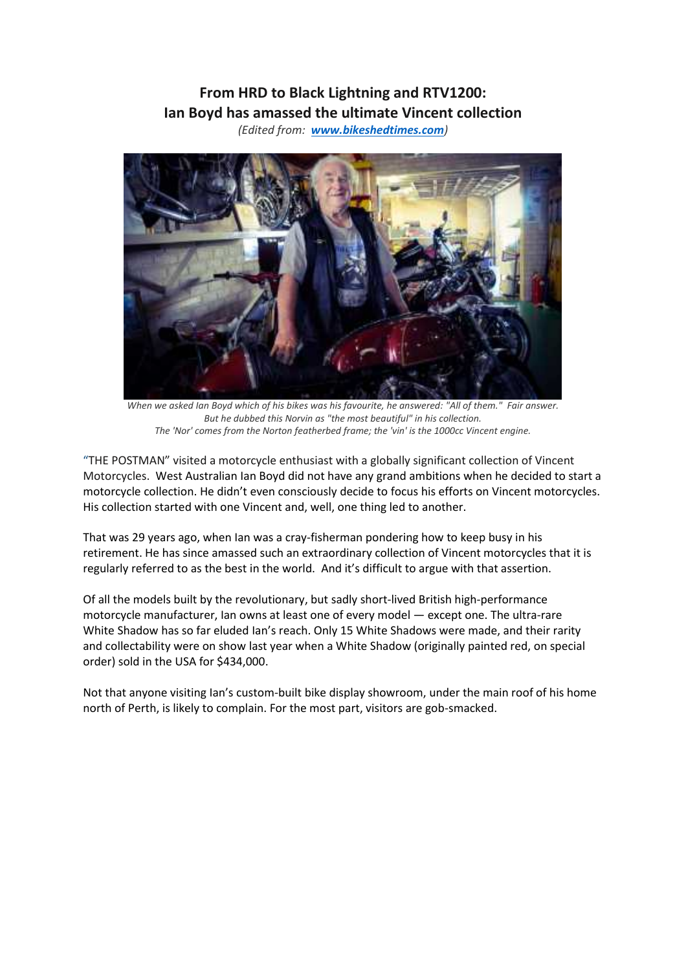## **From HRD to Black Lightning and RTV1200: Ian Boyd has amassed the ultimate Vincent collection**

*(Edited from: www.bikeshedtimes.com)*



*When we asked Ian Boyd which of his bikes was his favourite, he answered: "All of them." Fair answer. But he dubbed this Norvin as "the most beautiful" in his collection. The 'Nor' comes from the Norton featherbed frame; the 'vin' is the 1000cc Vincent engine.*

"THE POSTMAN" visited a motorcycle enthusiast with a globally significant collection of Vincent Motorcycles. West Australian Ian Boyd did not have any grand ambitions when he decided to start a motorcycle collection. He didn't even consciously decide to focus his efforts on Vincent motorcycles. His collection started with one Vincent and, well, one thing led to another.

That was 29 years ago, when Ian was a cray-fisherman pondering how to keep busy in his retirement. He has since amassed such an extraordinary collection of Vincent motorcycles that it is regularly referred to as the best in the world. And it's difficult to argue with that assertion.

Of all the models built by the revolutionary, but sadly short-lived British high-performance motorcycle manufacturer, Ian owns at least one of every model — except one. The ultra-rare White Shadow has so far eluded Ian's reach. Only 15 White Shadows were made, and their rarity and collectability were on show last year when a White Shadow (originally painted red, on special order) sold in the USA for \$434,000.

Not that anyone visiting Ian's custom-built bike display showroom, under the main roof of his home north of Perth, is likely to complain. For the most part, visitors are gob-smacked.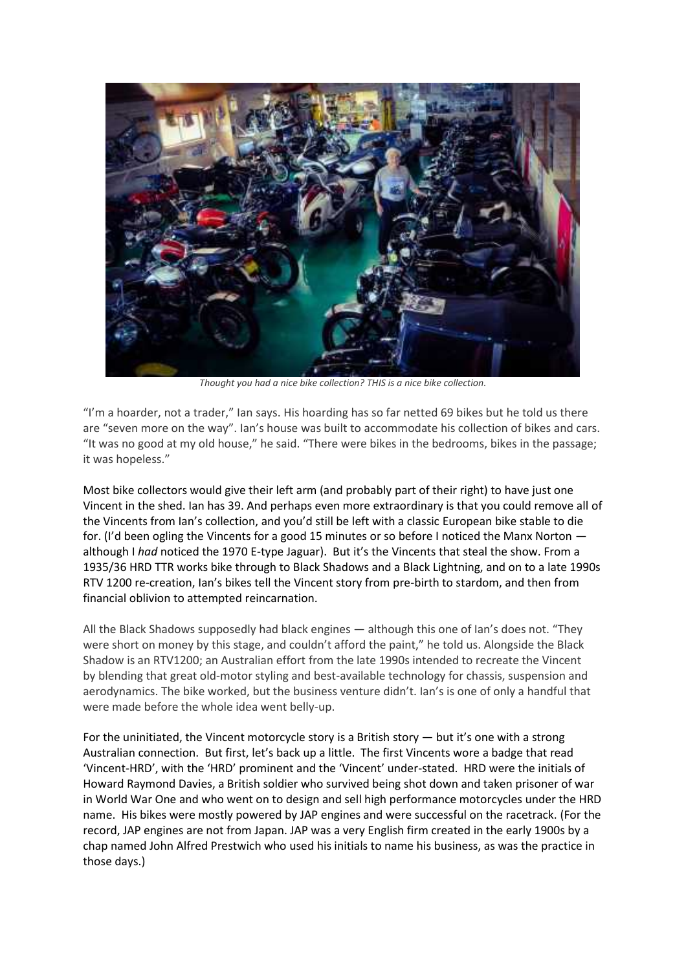

*Thought you had a nice bike collection? THIS is a nice bike collection.*

"I'm a hoarder, not a trader," Ian says. His hoarding has so far netted 69 bikes but he told us there are "seven more on the way". Ian's house was built to accommodate his collection of bikes and cars. "It was no good at my old house," he said. "There were bikes in the bedrooms, bikes in the passage; it was hopeless."

Most bike collectors would give their left arm (and probably part of their right) to have just one Vincent in the shed. Ian has 39. And perhaps even more extraordinary is that you could remove all of the Vincents from Ian's collection, and you'd still be left with a classic European bike stable to die for. (I'd been ogling the Vincents for a good 15 minutes or so before I noticed the Manx Norton although I *had* noticed the 1970 E-type Jaguar). But it's the Vincents that steal the show. From a 1935/36 HRD TTR works bike through to Black Shadows and a Black Lightning, and on to a late 1990s RTV 1200 re-creation, Ian's bikes tell the Vincent story from pre-birth to stardom, and then from financial oblivion to attempted reincarnation.

All the Black Shadows supposedly had black engines — although this one of Ian's does not. "They were short on money by this stage, and couldn't afford the paint," he told us. Alongside the Black Shadow is an RTV1200; an Australian effort from the late 1990s intended to recreate the Vincent by blending that great old-motor styling and best-available technology for chassis, suspension and aerodynamics. The bike worked, but the business venture didn't. Ian's is one of only a handful that were made before the whole idea went belly-up.

For the uninitiated, the Vincent motorcycle story is a British story — but it's one with a strong Australian connection. But first, let's back up a little. The first Vincents wore a badge that read 'Vincent-HRD', with the 'HRD' prominent and the 'Vincent' under-stated. HRD were the initials of Howard Raymond Davies, a British soldier who survived being shot down and taken prisoner of war in World War One and who went on to design and sell high performance motorcycles under the HRD name. His bikes were mostly powered by JAP engines and were successful on the racetrack. (For the record, JAP engines are not from Japan. JAP was a very English firm created in the early 1900s by a chap named John Alfred Prestwich who used his initials to name his business, as was the practice in those days.)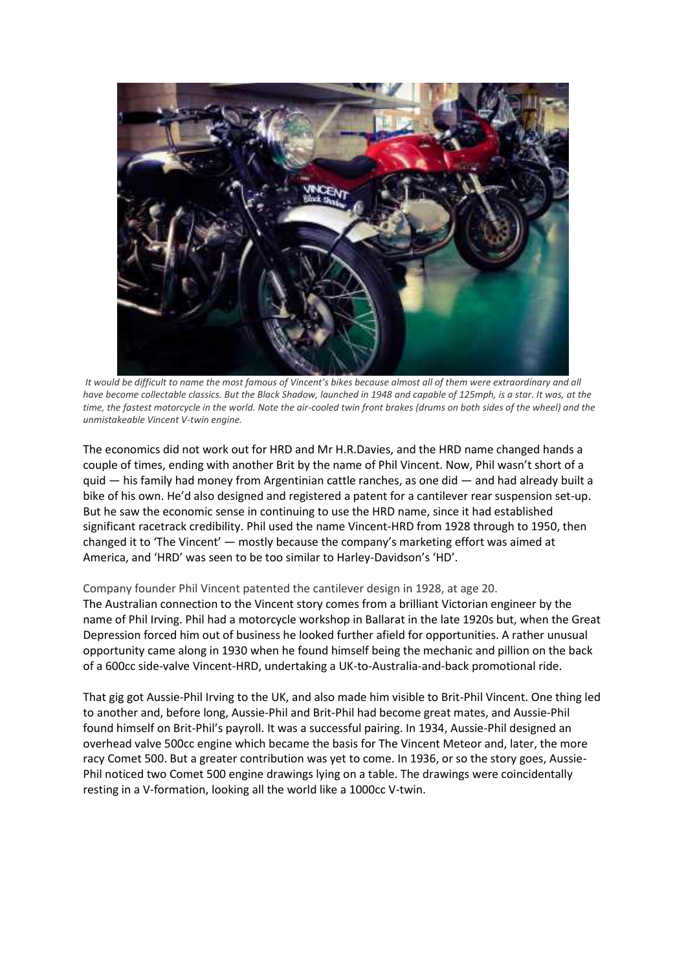

*It would be difficult to name the most famous of Vincent's bikes because almost all of them were extraordinary and all have become collectable classics. But the Black Shadow, launched in 1948 and capable of 125mph, is a star. It was, at the time, the fastest motorcycle in the world. Note the air-cooled twin front brakes (drums on both sides of the wheel) and the unmistakeable Vincent V-twin engine.* 

The economics did not work out for HRD and Mr H.R.Davies, and the HRD name changed hands a couple of times, ending with another Brit by the name of Phil Vincent. Now, Phil wasn't short of a quid — his family had money from Argentinian cattle ranches, as one did — and had already built a bike of his own. He'd also designed and registered a patent for a cantilever rear suspension set-up. But he saw the economic sense in continuing to use the HRD name, since it had established significant racetrack credibility. Phil used the name Vincent-HRD from 1928 through to 1950, then changed it to 'The Vincent' — mostly because the company's marketing effort was aimed at America, and 'HRD' was seen to be too similar to Harley-Davidson's 'HD'.

## Company founder Phil Vincent patented the cantilever design in 1928, at age 20.

The Australian connection to the Vincent story comes from a brilliant Victorian engineer by the name of Phil Irving. Phil had a motorcycle workshop in Ballarat in the late 1920s but, when the Great Depression forced him out of business he looked further afield for opportunities. A rather unusual opportunity came along in 1930 when he found himself being the mechanic and pillion on the back of a 600cc side-valve Vincent-HRD, undertaking a UK-to-Australia-and-back promotional ride.

That gig got Aussie-Phil Irving to the UK, and also made him visible to Brit-Phil Vincent. One thing led to another and, before long, Aussie-Phil and Brit-Phil had become great mates, and Aussie-Phil found himself on Brit-Phil's payroll. It was a successful pairing. In 1934, Aussie-Phil designed an overhead valve 500cc engine which became the basis for The Vincent Meteor and, later, the more racy Comet 500. But a greater contribution was yet to come. In 1936, or so the story goes, Aussie-Phil noticed two Comet 500 engine drawings lying on a table. The drawings were coincidentally resting in a V-formation, looking all the world like a 1000cc V-twin.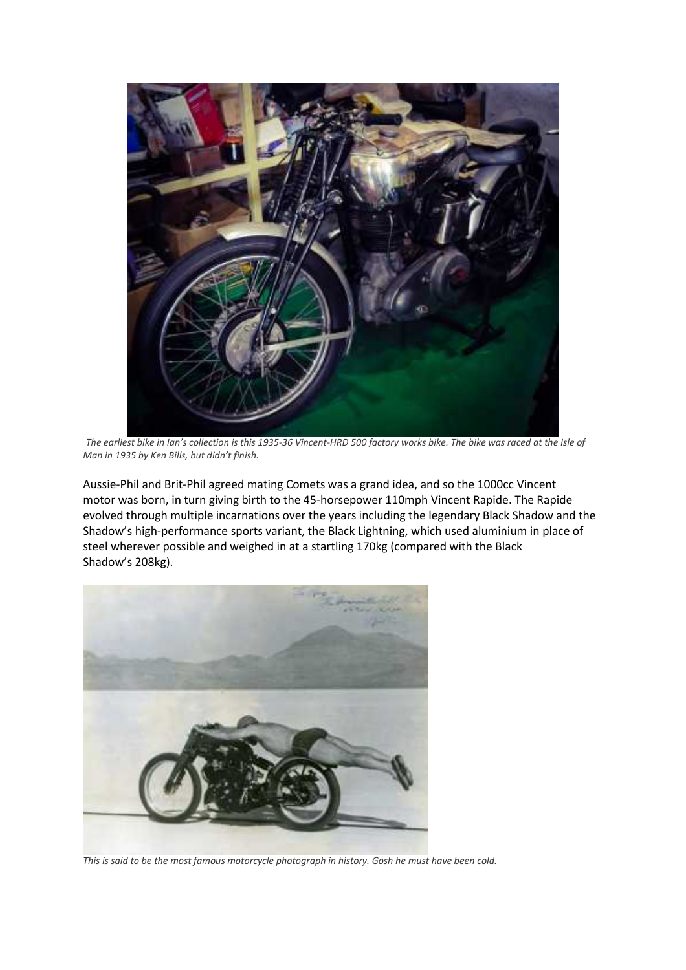

*The earliest bike in Ian's collection is this 1935-36 Vincent-HRD 500 factory works bike. The bike was raced at the Isle of Man in 1935 by Ken Bills, but didn't finish.*

Aussie-Phil and Brit-Phil agreed mating Comets was a grand idea, and so the 1000cc Vincent motor was born, in turn giving birth to the 45-horsepower 110mph Vincent Rapide. The Rapide evolved through multiple incarnations over the years including the legendary Black Shadow and the Shadow's high-performance sports variant, the Black Lightning, which used aluminium in place of steel wherever possible and weighed in at a startling 170kg (compared with the Black Shadow's 208kg).



*This is said to be the most famous motorcycle photograph in history. Gosh he must have been cold.*